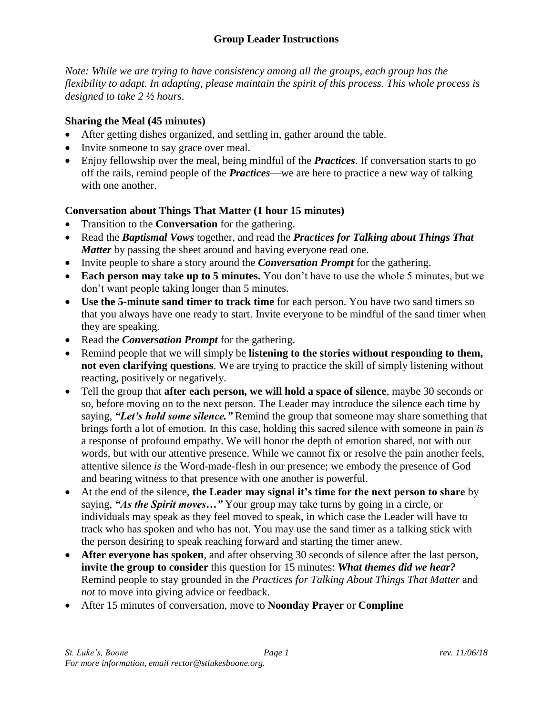*Note: While we are trying to have consistency among all the groups, each group has the flexibility to adapt. In adapting, please maintain the spirit of this process. This whole process is designed to take 2 ½ hours.*

## **Sharing the Meal (45 minutes)**

- After getting dishes organized, and settling in, gather around the table.
- Invite someone to say grace over meal.
- Enjoy fellowship over the meal, being mindful of the *Practices*. If conversation starts to go off the rails, remind people of the *Practices*—we are here to practice a new way of talking with one another.

# **Conversation about Things That Matter (1 hour 15 minutes)**

- Transition to the **Conversation** for the gathering.
- Read the *Baptismal Vows* together, and read the *Practices for Talking about Things That Matter* by passing the sheet around and having everyone read one.
- Invite people to share a story around the *Conversation Prompt* for the gathering.
- **Each person may take up to 5 minutes.** You don't have to use the whole 5 minutes, but we don't want people taking longer than 5 minutes.
- **Use the 5-minute sand timer to track time** for each person. You have two sand timers so that you always have one ready to start. Invite everyone to be mindful of the sand timer when they are speaking.
- Read the *Conversation Prompt* for the gathering.
- Remind people that we will simply be **listening to the stories without responding to them, not even clarifying questions**. We are trying to practice the skill of simply listening without reacting, positively or negatively.
- Tell the group that **after each person, we will hold a space of silence**, maybe 30 seconds or so, before moving on to the next person. The Leader may introduce the silence each time by saying, *"Let's hold some silence."* Remind the group that someone may share something that brings forth a lot of emotion. In this case, holding this sacred silence with someone in pain *is* a response of profound empathy. We will honor the depth of emotion shared, not with our words, but with our attentive presence. While we cannot fix or resolve the pain another feels, attentive silence *is* the Word-made-flesh in our presence; we embody the presence of God and bearing witness to that presence with one another is powerful.
- At the end of the silence, **the Leader may signal it's time for the next person to share** by saying, *"As the Spirit moves…"* Your group may take turns by going in a circle, or individuals may speak as they feel moved to speak, in which case the Leader will have to track who has spoken and who has not. You may use the sand timer as a talking stick with the person desiring to speak reaching forward and starting the timer anew.
- **After everyone has spoken**, and after observing 30 seconds of silence after the last person, **invite the group to consider** this question for 15 minutes: *What themes did we hear?* Remind people to stay grounded in the *Practices for Talking About Things That Matter* and *not* to move into giving advice or feedback.
- After 15 minutes of conversation, move to **Noonday Prayer** or **Compline**